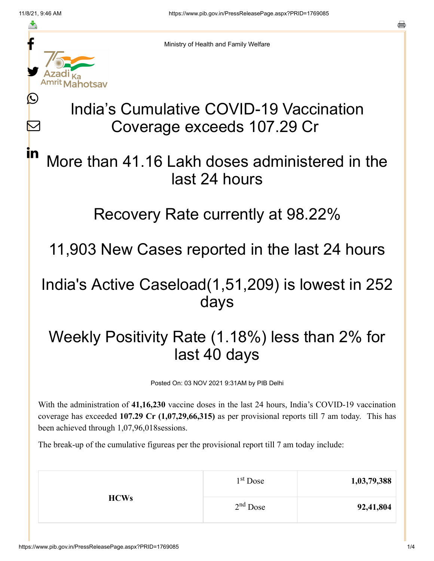≛

Ŀ

Ⅳ

<u>in</u>



Ministry of Health and Family Welfare

# India's Cumulative COVID-19 Vaccination Coverage exceeds 107.29 Cr

## More than 41.16 Lakh doses administered in the last 24 hours

#### Recovery Rate currently at 98.22%

11,903 New Cases reported in the last 24 hours

### India's Active Caseload(1,51,209) is lowest in 252 days

## Weekly Positivity Rate (1.18%) less than 2% for last 40 days

Posted On: 03 NOV 2021 9:31AM by PIB Delhi

With the administration of **41,16,230** vaccine doses in the last 24 hours, India's COVID-19 vaccination coverage has exceeded **107.29 Cr (1,07,29,66,315)** as per provisional reports till 7 am today. This has been achieved through 1,07,96,018sessions.

The break-up of the cumulative figureas per the provisional report till 7 am today include:

| 1,03,79,388 | $1st$ Dose | <b>HCWs</b> |
|-------------|------------|-------------|
| 92,41,804   | $2nd$ Dose |             |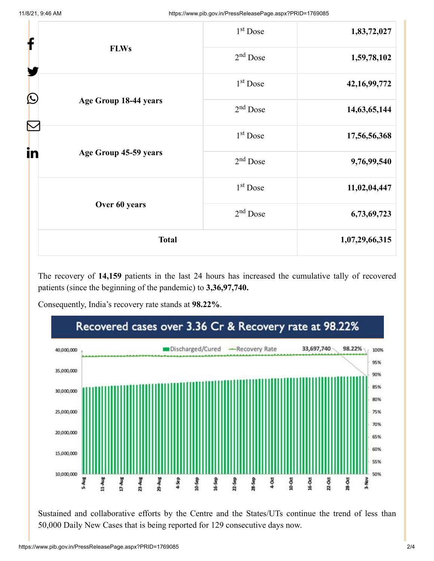| f                           |                       | 1 <sup>st</sup> Dose | 1,83,72,027     |
|-----------------------------|-----------------------|----------------------|-----------------|
|                             | <b>FLWs</b>           | $2nd$ Dose           | 1,59,78,102     |
|                             |                       | $1st$ Dose           | 42, 16, 99, 772 |
| Ŀ                           | Age Group 18-44 years | $2nd$ Dose           | 14,63,65,144    |
| Ñ                           |                       | $1st$ Dose           | 17,56,56,368    |
| in<br>Age Group 45-59 years | $2nd$ Dose            | 9,76,99,540          |                 |
|                             | $1st$ Dose            | 11,02,04,447         |                 |
|                             | Over 60 years         | $2nd$ Dose           | 6,73,69,723     |
|                             | <b>Total</b>          |                      | 1,07,29,66,315  |

The recovery of **14,159** patients in the last 24 hours has increased the cumulative tally of recovered patients (since the beginning of the pandemic) to **3,36,97,740.**

Consequently, India's recovery rate stands at **98.22%**.



Sustained and collaborative efforts by the Centre and the States/UTs continue the trend of less than 50,000 Daily New Cases that is being reported for 129 consecutive days now.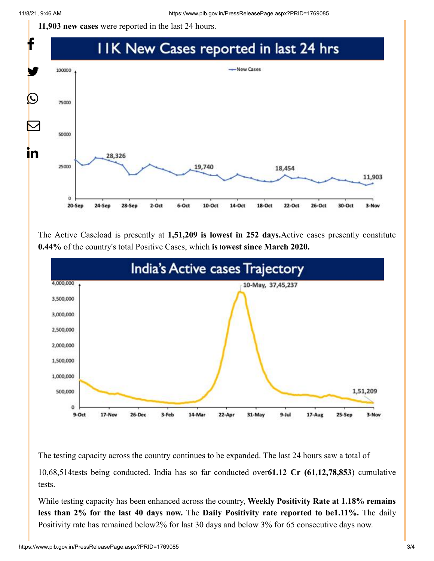**11,903 new cases** were reported in the last 24 hours.



The Active Caseload is presently at **1,51,209 is lowest in 252 days.**Active cases presently constitute **0.44%** of the country's total Positive Cases, which **is lowest since March 2020.**



The testing capacity across the country continues to be expanded. The last 24 hours saw a total of

10,68,514tests being conducted. India has so far conducted over**61.12 Cr (61,12,78,853**) cumulative tests.

While testing capacity has been enhanced across the country, **Weekly Positivity Rate at 1.18% remains less than 2% for the last 40 days now.** The **Daily Positivity rate reported to be1.11%.** The daily Positivity rate has remained below2% for last 30 days and below 3% for 65 consecutive days now.